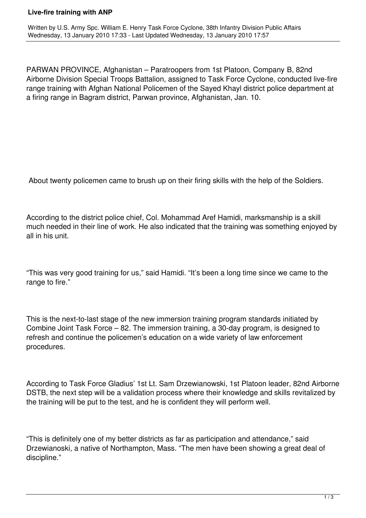## **Live-fire training with ANP**

PARWAN PROVINCE, Afghanistan – Paratroopers from 1st Platoon, Company B, 82nd Airborne Division Special Troops Battalion, assigned to Task Force Cyclone, conducted live-fire range training with Afghan National Policemen of the Sayed Khayl district police department at a firing range in Bagram district, Parwan province, Afghanistan, Jan. 10.

About twenty policemen came to brush up on their firing skills with the help of the Soldiers.

According to the district police chief, Col. Mohammad Aref Hamidi, marksmanship is a skill much needed in their line of work. He also indicated that the training was something enjoyed by all in his unit.

"This was very good training for us," said Hamidi. "It's been a long time since we came to the range to fire."

This is the next-to-last stage of the new immersion training program standards initiated by Combine Joint Task Force – 82. The immersion training, a 30-day program, is designed to refresh and continue the policemen's education on a wide variety of law enforcement procedures.

According to Task Force Gladius' 1st Lt. Sam Drzewianowski, 1st Platoon leader, 82nd Airborne DSTB, the next step will be a validation process where their knowledge and skills revitalized by the training will be put to the test, and he is confident they will perform well.

"This is definitely one of my better districts as far as participation and attendance," said Drzewianoski, a native of Northampton, Mass. "The men have been showing a great deal of discipline."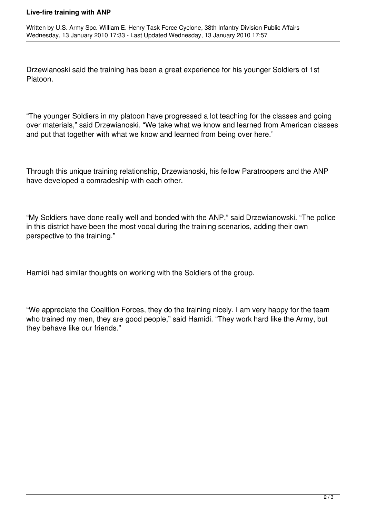## **Live-fire training with ANP**

Drzewianoski said the training has been a great experience for his younger Soldiers of 1st Platoon.

"The younger Soldiers in my platoon have progressed a lot teaching for the classes and going over materials," said Drzewianoski. "We take what we know and learned from American classes and put that together with what we know and learned from being over here."

Through this unique training relationship, Drzewianoski, his fellow Paratroopers and the ANP have developed a comradeship with each other.

"My Soldiers have done really well and bonded with the ANP," said Drzewianowski. "The police in this district have been the most vocal during the training scenarios, adding their own perspective to the training."

Hamidi had similar thoughts on working with the Soldiers of the group.

"We appreciate the Coalition Forces, they do the training nicely. I am very happy for the team who trained my men, they are good people," said Hamidi. "They work hard like the Army, but they behave like our friends."